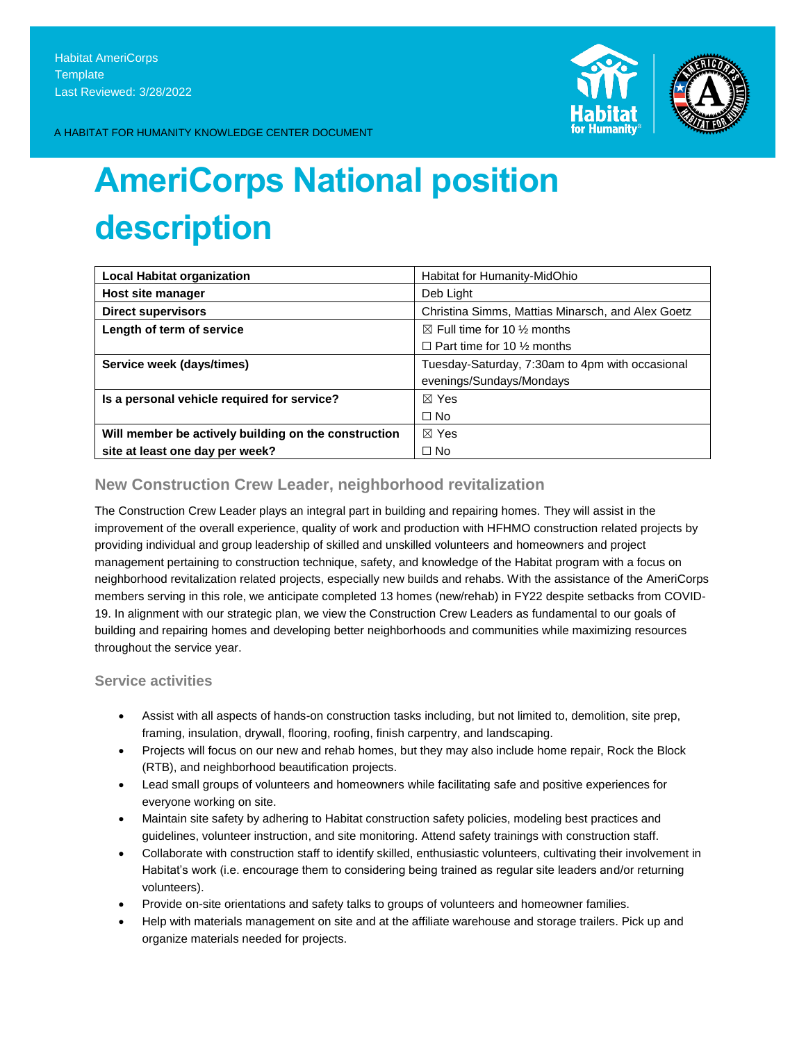

A HABITAT FOR HUMANITY KNOWLEDGE CENTER DOCUMENT

# **AmeriCorps National position description**

| <b>Local Habitat organization</b>                    | Habitat for Humanity-MidOhio                      |
|------------------------------------------------------|---------------------------------------------------|
| Host site manager                                    | Deb Light                                         |
| <b>Direct supervisors</b>                            | Christina Simms, Mattias Minarsch, and Alex Goetz |
| Length of term of service                            | $\boxtimes$ Full time for 10 % months             |
|                                                      | $\Box$ Part time for 10 % months                  |
| Service week (days/times)                            | Tuesday-Saturday, 7:30am to 4pm with occasional   |
|                                                      | evenings/Sundays/Mondays                          |
| Is a personal vehicle required for service?          | $\boxtimes$ Yes                                   |
|                                                      | $\Box$ No                                         |
| Will member be actively building on the construction | $\boxtimes$ Yes                                   |
| site at least one day per week?                      | $\Box$ No                                         |

## **New Construction Crew Leader, neighborhood revitalization**

The Construction Crew Leader plays an integral part in building and repairing homes. They will assist in the improvement of the overall experience, quality of work and production with HFHMO construction related projects by providing individual and group leadership of skilled and unskilled volunteers and homeowners and project management pertaining to construction technique, safety, and knowledge of the Habitat program with a focus on neighborhood revitalization related projects, especially new builds and rehabs. With the assistance of the AmeriCorps members serving in this role, we anticipate completed 13 homes (new/rehab) in FY22 despite setbacks from COVID-19. In alignment with our strategic plan, we view the Construction Crew Leaders as fundamental to our goals of building and repairing homes and developing better neighborhoods and communities while maximizing resources throughout the service year.

## **Service activities**

- Assist with all aspects of hands-on construction tasks including, but not limited to, demolition, site prep, framing, insulation, drywall, flooring, roofing, finish carpentry, and landscaping.
- Projects will focus on our new and rehab homes, but they may also include home repair, Rock the Block (RTB), and neighborhood beautification projects.
- Lead small groups of volunteers and homeowners while facilitating safe and positive experiences for everyone working on site.
- Maintain site safety by adhering to Habitat construction safety policies, modeling best practices and guidelines, volunteer instruction, and site monitoring. Attend safety trainings with construction staff.
- Collaborate with construction staff to identify skilled, enthusiastic volunteers, cultivating their involvement in Habitat's work (i.e. encourage them to considering being trained as regular site leaders and/or returning volunteers).
- Provide on-site orientations and safety talks to groups of volunteers and homeowner families.
- Help with materials management on site and at the affiliate warehouse and storage trailers. Pick up and organize materials needed for projects.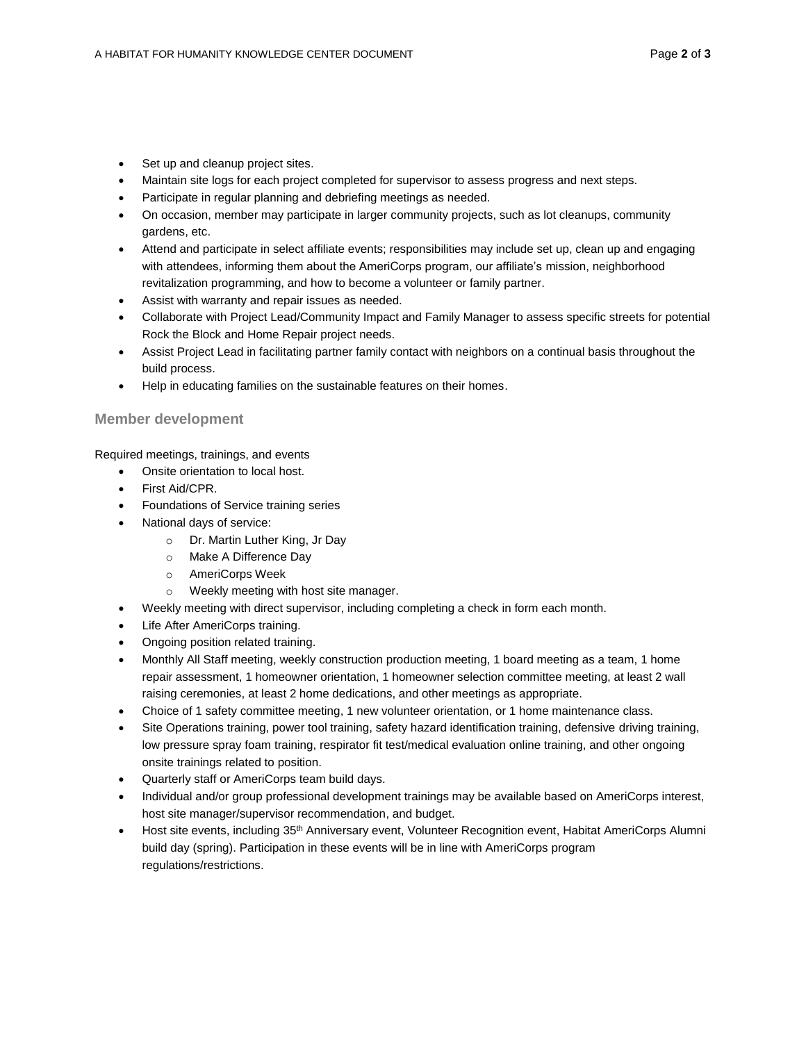- Set up and cleanup project sites.
- Maintain site logs for each project completed for supervisor to assess progress and next steps.
- Participate in regular planning and debriefing meetings as needed.
- On occasion, member may participate in larger community projects, such as lot cleanups, community gardens, etc.
- Attend and participate in select affiliate events; responsibilities may include set up, clean up and engaging with attendees, informing them about the AmeriCorps program, our affiliate's mission, neighborhood revitalization programming, and how to become a volunteer or family partner.
- Assist with warranty and repair issues as needed.
- Collaborate with Project Lead/Community Impact and Family Manager to assess specific streets for potential Rock the Block and Home Repair project needs.
- Assist Project Lead in facilitating partner family contact with neighbors on a continual basis throughout the build process.
- Help in educating families on the sustainable features on their homes.

### **Member development**

Required meetings, trainings, and events

- Onsite orientation to local host.
- First Aid/CPR.
- Foundations of Service training series
- National days of service:
	- o Dr. Martin Luther King, Jr Day
	- o Make A Difference Day
	- o AmeriCorps Week
	- o Weekly meeting with host site manager.
- Weekly meeting with direct supervisor, including completing a check in form each month.
- Life After AmeriCorps training.
- Ongoing position related training.
- Monthly All Staff meeting, weekly construction production meeting, 1 board meeting as a team, 1 home repair assessment, 1 homeowner orientation, 1 homeowner selection committee meeting, at least 2 wall raising ceremonies, at least 2 home dedications, and other meetings as appropriate.
- Choice of 1 safety committee meeting, 1 new volunteer orientation, or 1 home maintenance class.
- Site Operations training, power tool training, safety hazard identification training, defensive driving training, low pressure spray foam training, respirator fit test/medical evaluation online training, and other ongoing onsite trainings related to position.
- Quarterly staff or AmeriCorps team build days.
- Individual and/or group professional development trainings may be available based on AmeriCorps interest, host site manager/supervisor recommendation, and budget.
- Host site events, including 35<sup>th</sup> Anniversary event, Volunteer Recognition event, Habitat AmeriCorps Alumni build day (spring). Participation in these events will be in line with AmeriCorps program regulations/restrictions.